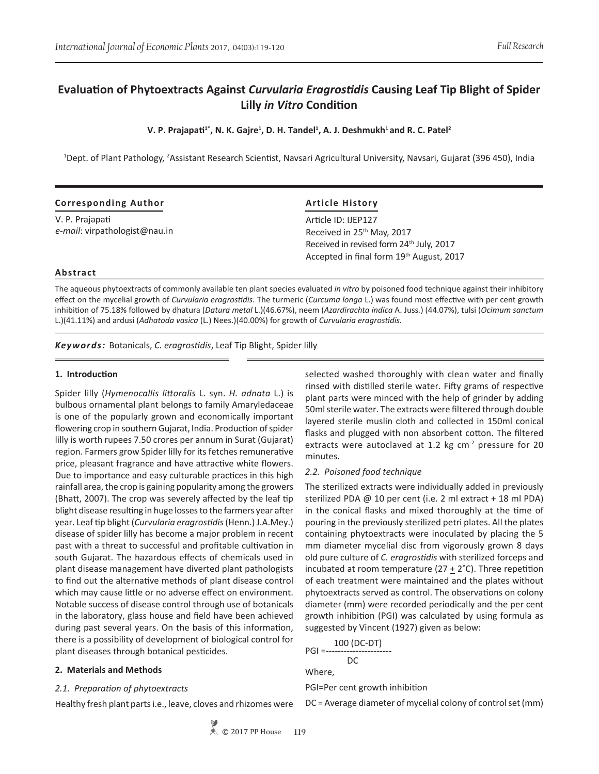# **Evaluation of Phytoextracts Against** *Curvularia Eragrostidis* **Causing Leaf Tip Blight of Spider Lilly** *in Vitro* **Condition**

**V. P. Prajapati<sup>1\*</sup>, N. K. Gajre<sup>1</sup>, D. H. Tandel<sup>1</sup>, A. J. Deshmukh<sup>1</sup> and R. C. Patel<sup>2</sup>** 

<sup>1</sup>Dept. of Plant Pathology, <sup>2</sup>Assistant Research Scientist, Navsari Agricultural University, Navsari, Gujarat (396 450), India

| <b>Corresponding Author</b>   | <b>Article History</b><br>Article ID: IJEP127        |  |  |
|-------------------------------|------------------------------------------------------|--|--|
| V. P. Prajapati               |                                                      |  |  |
| e-mail: virpathologist@nau.in | Received in 25 <sup>th</sup> May, 2017               |  |  |
|                               | Received in revised form 24 <sup>th</sup> July, 2017 |  |  |
|                               | Accepted in final form 19 <sup>th</sup> August, 2017 |  |  |

### **Abstract**

The aqueous phytoextracts of commonly available ten plant species evaluated *in vitro* by poisoned food technique against their inhibitory effect on the mycelial growth of *Curvularia eragrostidis*. The turmeric (*Curcuma longa* L.) was found most effective with per cent growth inhibition of 75.18% followed by dhatura (*Datura metal* L.)(46.67%), neem (*Azardirachta indica* A. Juss*.*) (44.07%), tulsi (*Ocimum sanctum* L.)(41.11%) and ardusi (*Adhatoda vasica* (L.) Nees.)(40.00%) for growth of *Curvularia eragrostidis.*

*Keywords:* Botanicals, *C. eragrostidis*, Leaf Tip Blight, Spider lilly

#### **1. Introduction**

Spider lilly (*Hymenocallis littoralis* L. syn. *H. adnata* L.) is bulbous ornamental plant belongs to family Amaryledaceae is one of the popularly grown and economically important flowering crop in southern Gujarat, India. Production of spider lilly is worth rupees 7.50 crores per annum in Surat (Gujarat) region. Farmers grow Spider lilly for its fetches remunerative price, pleasant fragrance and have attractive white flowers. Due to importance and easy culturable practices in this high rainfall area, the crop is gaining popularity among the growers (Bhatt, 2007). The crop was severely affected by the leaf tip blight disease resulting in huge losses to the farmers year after year. Leaf tip blight (*Curvularia eragrostidis* (Henn.) J.A.Mey.) disease of spider lilly has become a major problem in recent past with a threat to successful and profitable cultivation in south Gujarat. The hazardous effects of chemicals used in plant disease management have diverted plant pathologists to find out the alternative methods of plant disease control which may cause little or no adverse effect on environment. Notable success of disease control through use of botanicals in the laboratory, glass house and field have been achieved during past several years. On the basis of this information, there is a possibility of development of biological control for plant diseases through botanical pesticides.

### **2. Materials and Methods**

### *2.1. Preparation of phytoextracts*

Healthy fresh plant parts i.e., leave, cloves and rhizomes were

selected washed thoroughly with clean water and finally rinsed with distilled sterile water. Fifty grams of respective plant parts were minced with the help of grinder by adding 50ml sterile water. The extracts were filtered through double layered sterile muslin cloth and collected in 150ml conical flasks and plugged with non absorbent cotton. The filtered extracts were autoclaved at 1.2 kg  $cm<sup>2</sup>$  pressure for 20 minutes.

### *2.2. Poisoned food technique*

The sterilized extracts were individually added in previously sterilized PDA @ 10 per cent (i.e. 2 ml extract + 18 ml PDA) in the conical flasks and mixed thoroughly at the time of pouring in the previously sterilized petri plates. All the plates containing phytoextracts were inoculated by placing the 5 mm diameter mycelial disc from vigorously grown 8 days old pure culture of *C. eragrostidis* with sterilized forceps and incubated at room temperature (27  $\pm$  2°C). Three repetition of each treatment were maintained and the plates without phytoextracts served as control. The observations on colony diameter (mm) were recorded periodically and the per cent growth inhibition (PGI) was calculated by using formula as suggested by Vincent (1927) given as below:

 100 (DC-DT) PGI =---------------------- DC Where, PGI=Per cent growth inhibition

DC = Average diameter of mycelial colony of control set (mm)